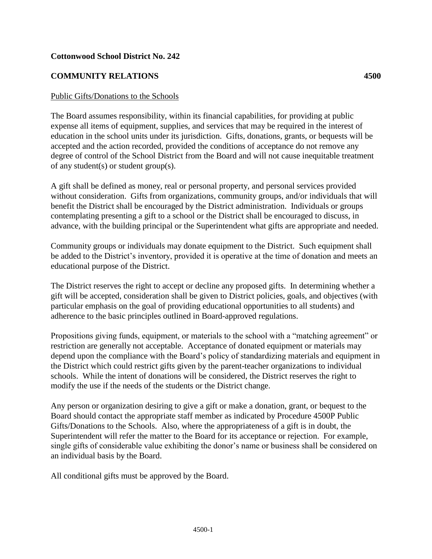## **Cottonwood School District No. 242**

## **COMMUNITY RELATIONS 4500**

## Public Gifts/Donations to the Schools

The Board assumes responsibility, within its financial capabilities, for providing at public expense all items of equipment, supplies, and services that may be required in the interest of education in the school units under its jurisdiction. Gifts, donations, grants, or bequests will be accepted and the action recorded, provided the conditions of acceptance do not remove any degree of control of the School District from the Board and will not cause inequitable treatment of any student(s) or student group(s).

A gift shall be defined as money, real or personal property, and personal services provided without consideration. Gifts from organizations, community groups, and/or individuals that will benefit the District shall be encouraged by the District administration. Individuals or groups contemplating presenting a gift to a school or the District shall be encouraged to discuss, in advance, with the building principal or the Superintendent what gifts are appropriate and needed.

Community groups or individuals may donate equipment to the District. Such equipment shall be added to the District's inventory, provided it is operative at the time of donation and meets an educational purpose of the District.

The District reserves the right to accept or decline any proposed gifts. In determining whether a gift will be accepted, consideration shall be given to District policies, goals, and objectives (with particular emphasis on the goal of providing educational opportunities to all students) and adherence to the basic principles outlined in Board-approved regulations.

Propositions giving funds, equipment, or materials to the school with a "matching agreement" or restriction are generally not acceptable. Acceptance of donated equipment or materials may depend upon the compliance with the Board's policy of standardizing materials and equipment in the District which could restrict gifts given by the parent-teacher organizations to individual schools. While the intent of donations will be considered, the District reserves the right to modify the use if the needs of the students or the District change.

Any person or organization desiring to give a gift or make a donation, grant, or bequest to the Board should contact the appropriate staff member as indicated by Procedure 4500P Public Gifts/Donations to the Schools. Also, where the appropriateness of a gift is in doubt, the Superintendent will refer the matter to the Board for its acceptance or rejection. For example, single gifts of considerable value exhibiting the donor's name or business shall be considered on an individual basis by the Board.

All conditional gifts must be approved by the Board.